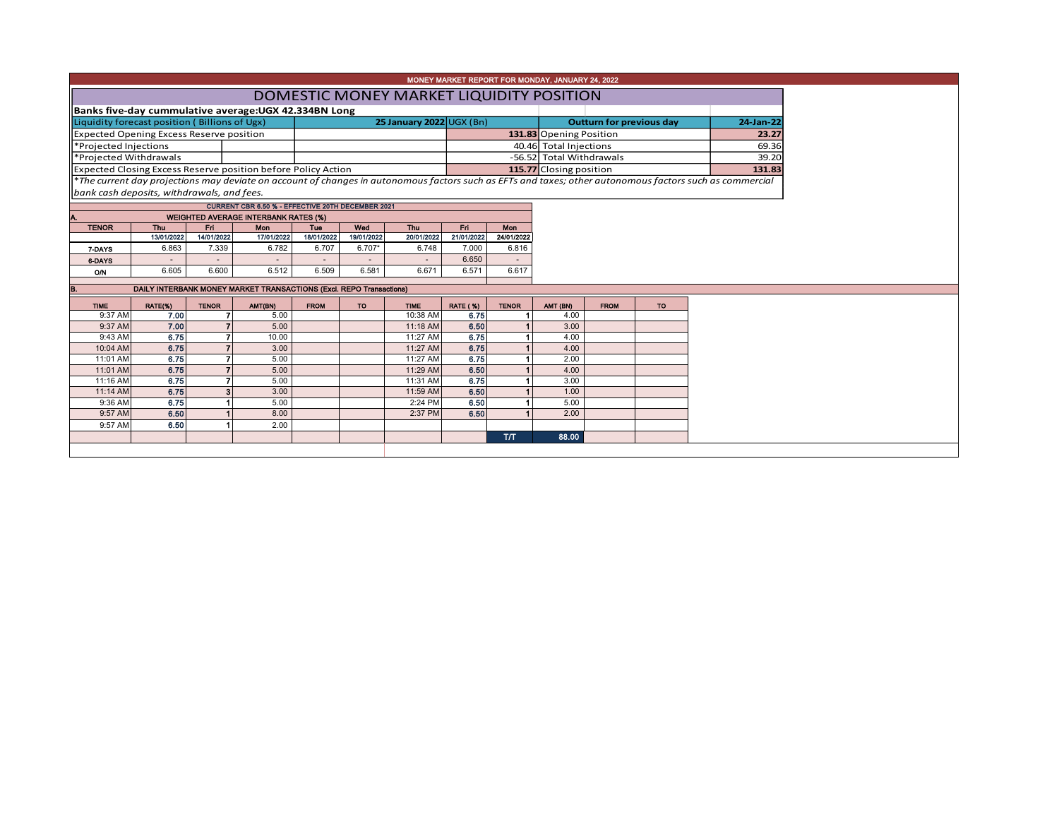|                                                               |                                                                     |                |                                                   |             |            |                          |                 |                      | MONEY MARKET REPORT FOR MONDAY, JANUARY 24, 2022 |                                 |           |                                                                                                                                                          |  |  |
|---------------------------------------------------------------|---------------------------------------------------------------------|----------------|---------------------------------------------------|-------------|------------|--------------------------|-----------------|----------------------|--------------------------------------------------|---------------------------------|-----------|----------------------------------------------------------------------------------------------------------------------------------------------------------|--|--|
|                                                               |                                                                     |                |                                                   |             |            |                          |                 |                      |                                                  |                                 |           |                                                                                                                                                          |  |  |
| DOMESTIC MONEY MARKET LIQUIDITY POSITION                      |                                                                     |                |                                                   |             |            |                          |                 |                      |                                                  |                                 |           |                                                                                                                                                          |  |  |
|                                                               | Banks five-day cummulative average: UGX 42.334BN Long               |                |                                                   |             |            |                          |                 |                      |                                                  |                                 |           |                                                                                                                                                          |  |  |
| Liquidity forecast position (Billions of Ugx)                 |                                                                     |                |                                                   |             |            | 25 January 2022 UGX (Bn) |                 |                      |                                                  | <b>Outturn for previous day</b> |           |                                                                                                                                                          |  |  |
| Expected Opening Excess Reserve position                      |                                                                     |                |                                                   |             |            |                          |                 |                      | 131.83 Opening Position                          | 23.27                           |           |                                                                                                                                                          |  |  |
| *Projected Injections                                         |                                                                     |                |                                                   |             |            |                          |                 |                      | 40.46 Total Injections                           | 69.36                           |           |                                                                                                                                                          |  |  |
| *Projected Withdrawals                                        |                                                                     |                |                                                   |             |            |                          |                 |                      | -56.52 Total Withdrawals                         | 39.20                           |           |                                                                                                                                                          |  |  |
| Expected Closing Excess Reserve position before Policy Action |                                                                     |                |                                                   |             |            |                          |                 |                      | 115.77 Closing position                          |                                 |           | 131.83                                                                                                                                                   |  |  |
|                                                               |                                                                     |                |                                                   |             |            |                          |                 |                      |                                                  |                                 |           | *The current day projections may deviate on account of changes in autonomous factors such as EFTs and taxes; other autonomous factors such as commercial |  |  |
| bank cash deposits, withdrawals, and fees.                    |                                                                     |                |                                                   |             |            |                          |                 |                      |                                                  |                                 |           |                                                                                                                                                          |  |  |
|                                                               |                                                                     |                | CURRENT CBR 6.50 % - EFFECTIVE 20TH DECEMBER 2021 |             |            |                          |                 |                      |                                                  |                                 |           |                                                                                                                                                          |  |  |
|                                                               |                                                                     |                | <b>WEIGHTED AVERAGE INTERBANK RATES (%)</b>       |             |            |                          |                 |                      |                                                  |                                 |           |                                                                                                                                                          |  |  |
| <b>TENOR</b>                                                  | Thu                                                                 | Fri            | Mon                                               | Tue         | Wed        | Thu                      | Fri             | Mon                  |                                                  |                                 |           |                                                                                                                                                          |  |  |
|                                                               | 13/01/2022                                                          | 14/01/2022     | 17/01/2022                                        | 18/01/2022  | 19/01/2022 | 20/01/2022               | 21/01/2022      | 24/01/2022           |                                                  |                                 |           |                                                                                                                                                          |  |  |
| 7-DAYS                                                        | 6.863                                                               | 7.339          | 6.782                                             | 6.707       | $6.707*$   | 6.748                    | 7.000           | 6.816                |                                                  |                                 |           |                                                                                                                                                          |  |  |
| 6-DAYS                                                        |                                                                     |                |                                                   |             |            |                          | 6.650           |                      |                                                  |                                 |           |                                                                                                                                                          |  |  |
| O/N                                                           | 6.605                                                               | 6.600          | 6.512                                             | 6.509       | 6.581      | 6.671                    | 6.571           | 6.617                |                                                  |                                 |           |                                                                                                                                                          |  |  |
| B.                                                            | DAILY INTERBANK MONEY MARKET TRANSACTIONS (Excl. REPO Transactions) |                |                                                   |             |            |                          |                 |                      |                                                  |                                 |           |                                                                                                                                                          |  |  |
| <b>TIME</b>                                                   | RATE(%)                                                             | <b>TENOR</b>   | AMT(BN)                                           | <b>FROM</b> | <b>TO</b>  | <b>TIME</b>              | <b>RATE (%)</b> | <b>TENOR</b>         | AMT (BN)                                         | <b>FROM</b>                     | <b>TO</b> |                                                                                                                                                          |  |  |
| 9:37 AM                                                       | 7.00                                                                |                | 5.00                                              |             |            | 10:38 AM                 | 6.75            | -1                   | 4.00                                             |                                 |           |                                                                                                                                                          |  |  |
| 9:37 AM                                                       | 7.00                                                                |                | 5.00                                              |             |            | 11:18 AM                 | 6.50            |                      | 3.00                                             |                                 |           |                                                                                                                                                          |  |  |
| 9:43 AM                                                       | 6.75                                                                |                | 10.00                                             |             |            | 11:27 AM                 | 6.75            |                      | 4.00                                             |                                 |           |                                                                                                                                                          |  |  |
| 10:04 AM                                                      | 6.75                                                                | $\overline{z}$ | 3.00                                              |             |            | 11:27 AM                 | 6.75            |                      | 4.00                                             |                                 |           |                                                                                                                                                          |  |  |
| 11:01 AM                                                      | 6.75                                                                |                | 5.00                                              |             |            | 11:27 AM                 | 6.75            |                      | 2.00                                             |                                 |           |                                                                                                                                                          |  |  |
| 11:01 AM                                                      | 6.75                                                                |                | 5.00                                              |             |            | 11:29 AM                 | 6.50            |                      | 4.00                                             |                                 |           |                                                                                                                                                          |  |  |
| 11:16 AM                                                      | 6.75                                                                |                | 5.00                                              |             |            | 11:31 AM                 | 6.75            |                      | 3.00                                             |                                 |           |                                                                                                                                                          |  |  |
| 11:14 AM                                                      | 6.75                                                                |                | 3.00                                              |             |            | 11:59 AM                 | 6.50            | $\blacktriangleleft$ | 1.00                                             |                                 |           |                                                                                                                                                          |  |  |
| 9:36 AM                                                       | 6.75                                                                |                | 5.00                                              |             |            | 2:24 PM                  | 6.50            |                      | 5.00                                             |                                 |           |                                                                                                                                                          |  |  |
| 9:57 AM                                                       | 6.50                                                                |                | 8.00                                              |             |            | 2:37 PM                  | 6.50            |                      | 2.00                                             |                                 |           |                                                                                                                                                          |  |  |
| 9:57 AM                                                       | 6.50                                                                |                | 2.00                                              |             |            |                          |                 |                      |                                                  |                                 |           |                                                                                                                                                          |  |  |
|                                                               |                                                                     |                |                                                   |             |            |                          |                 | <b>ТЛТ</b>           | 88.00                                            |                                 |           |                                                                                                                                                          |  |  |
|                                                               |                                                                     |                |                                                   |             |            |                          |                 |                      |                                                  |                                 |           |                                                                                                                                                          |  |  |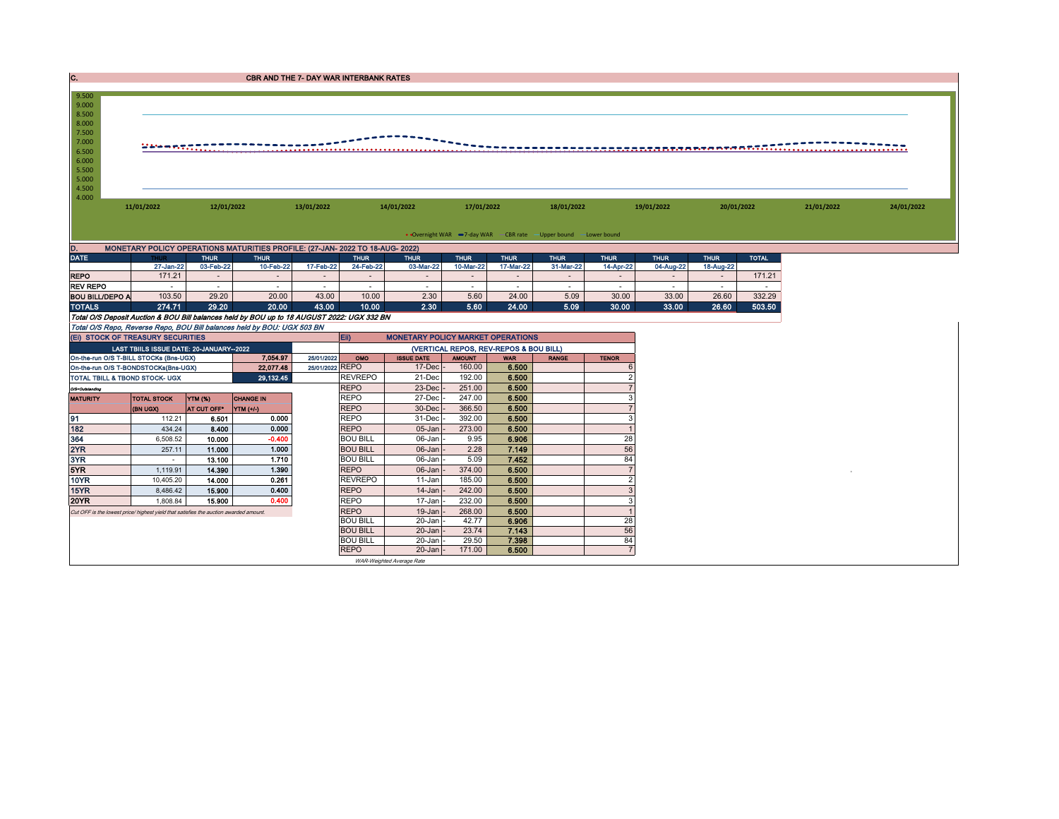| IC.                                       |                                                                                       |                         | <b>CBR AND THE 7- DAY WAR INTERBANK RATES</b>                                              |                 |                                    |                                          |                                        |                 |                                                                 |                 |                 |                 |                  |            |            |
|-------------------------------------------|---------------------------------------------------------------------------------------|-------------------------|--------------------------------------------------------------------------------------------|-----------------|------------------------------------|------------------------------------------|----------------------------------------|-----------------|-----------------------------------------------------------------|-----------------|-----------------|-----------------|------------------|------------|------------|
| 9.500<br>9.000                            |                                                                                       |                         |                                                                                            |                 |                                    |                                          |                                        |                 |                                                                 |                 |                 |                 |                  |            |            |
| 8.500<br>8.000                            |                                                                                       |                         |                                                                                            |                 |                                    |                                          |                                        |                 |                                                                 |                 |                 |                 |                  |            |            |
| 7.500                                     |                                                                                       |                         |                                                                                            |                 |                                    |                                          |                                        |                 |                                                                 |                 |                 |                 |                  |            |            |
| 7.000<br>6.500                            | 244 mentii.                                                                           |                         |                                                                                            |                 |                                    |                                          |                                        |                 |                                                                 |                 |                 |                 |                  |            |            |
| 6.000                                     |                                                                                       |                         |                                                                                            |                 |                                    |                                          |                                        |                 |                                                                 |                 |                 |                 |                  |            |            |
| 5.500<br>5.000                            |                                                                                       |                         |                                                                                            |                 |                                    |                                          |                                        |                 |                                                                 |                 |                 |                 |                  |            |            |
| 4.500                                     |                                                                                       |                         |                                                                                            |                 |                                    |                                          |                                        |                 |                                                                 |                 |                 |                 |                  |            |            |
| 4.000                                     | 11/01/2022                                                                            | 12/01/2022              |                                                                                            | 13/01/2022      |                                    | 14/01/2022                               | 17/01/2022                             |                 | 18/01/2022                                                      |                 | 19/01/2022      | 20/01/2022      |                  | 21/01/2022 | 24/01/2022 |
|                                           |                                                                                       |                         |                                                                                            |                 |                                    |                                          |                                        |                 |                                                                 |                 |                 |                 |                  |            |            |
|                                           |                                                                                       |                         |                                                                                            |                 |                                    |                                          |                                        |                 | • Overnight WAR -7-day WAR - CBR rate -Upper bound -Lower bound |                 |                 |                 |                  |            |            |
|                                           |                                                                                       |                         | MONETARY POLICY OPERATIONS MATURITIES PROFILE: (27-JAN- 2022 TO 18-AUG- 2022)              |                 |                                    |                                          |                                        |                 |                                                                 |                 |                 |                 |                  |            |            |
| <b>DATE</b>                               |                                                                                       | <b>THUR</b>             | <b>THUR</b>                                                                                |                 | <b>THUR</b>                        | <b>THUR</b>                              | <b>THUR</b>                            | <b>THUR</b>     | <b>THUR</b>                                                     | <b>THUR</b>     | <b>THUR</b>     | <b>THUR</b>     | <b>TOTAL</b>     |            |            |
|                                           | 27-Jan-22                                                                             | 03-Feb-22               | 10-Feb-22                                                                                  | 17-Feb-22       | 24-Feb-22                          | 03-Mar-22                                | 10-Mar-22                              | 17-Mar-22       | 31-Mar-22                                                       | 14-Apr-22       | 04-Aug-22       | 18-Aug-22       |                  |            |            |
| <b>REPO</b>                               | 171.21                                                                                | $\sim$                  | $\sim$                                                                                     | $\sim$          | $\sim$                             | $\sim$                                   | $\sim$                                 | $\sim$          | $\sim$                                                          | $\sim$          | $\sim$          | $\sim$          | 171.21           |            |            |
| <b>REV REPO</b><br><b>BOU BILL/DEPO A</b> | $\sim$<br>103.50                                                                      | $\sim$<br>29.20         | $\sim$<br>20.00                                                                            | $\sim$<br>43.00 | $\sim$<br>10.00                    | $\sim$<br>2.30                           | $\sim$<br>5.60                         | $\sim$<br>24.00 | $\sim$<br>5.09                                                  | $\sim$<br>30.00 | $\sim$<br>33.00 | $\sim$<br>26.60 | $\sim$<br>332.29 |            |            |
| <b>TOTALS</b>                             | 274.71                                                                                | 29.20                   | 20.00                                                                                      | 43.00           | 10.00                              | 2.30                                     | 5.60                                   | 24.00           | 5.09                                                            | 30.00           | 33.00           | 26.60           | 503.50           |            |            |
|                                           |                                                                                       |                         | Total O/S Deposit Auction & BOU Bill balances held by BOU up to 18 AUGUST 2022: UGX 332 BN |                 |                                    |                                          |                                        |                 |                                                                 |                 |                 |                 |                  |            |            |
|                                           |                                                                                       |                         | Total O/S Repo, Reverse Repo, BOU Bill balances held by BOU: UGX 503 BN                    |                 |                                    |                                          |                                        |                 |                                                                 |                 |                 |                 |                  |            |            |
|                                           | (EI) STOCK OF TREASURY SECURITIES                                                     |                         |                                                                                            |                 | Eii)                               | <b>MONETARY POLICY MARKET OPERATIONS</b> |                                        |                 |                                                                 |                 |                 |                 |                  |            |            |
|                                           | LAST TBIILS ISSUE DATE: 20-JANUARY-2022                                               |                         |                                                                                            |                 |                                    |                                          | (VERTICAL REPOS, REV-REPOS & BOU BILL) |                 |                                                                 |                 |                 |                 |                  |            |            |
|                                           | On-the-run O/S T-BILL STOCKs (Bns-UGX)                                                |                         | 7.054.97                                                                                   | 25/01/2022      | OMO                                | <b>ISSUE DATE</b>                        | <b>AMOUNT</b>                          | <b>WAR</b>      | <b>RANGE</b>                                                    | <b>TENOR</b>    |                 |                 |                  |            |            |
|                                           | On-the-run O/S T-BONDSTOCKs(Bns-UGX)                                                  |                         | 22,077.48<br>29,132.45                                                                     | 25/01/2022 REPO | <b>REVREPO</b>                     | 17-Dec<br>21-Dec                         | 160.00<br>192.00                       | 6.500<br>6.500  |                                                                 | 6               |                 |                 |                  |            |            |
| O/S=Outstanding                           | TOTAL TBILL & TBOND STOCK- UGX                                                        |                         |                                                                                            |                 | <b>REPO</b>                        | $23$ -Dec                                | 251.00                                 | 6.500           |                                                                 |                 |                 |                 |                  |            |            |
| <b>MATURITY</b>                           | <b>TOTAL STOCK</b>                                                                    | <b>YTM (%)</b>          | <b>CHANGE IN</b>                                                                           |                 | <b>REPO</b>                        | 27-Dec                                   | 247.00                                 | 6.500           |                                                                 | 3               |                 |                 |                  |            |            |
|                                           | (BN UGX)                                                                              | AT CUT OFF <sup>®</sup> | $\mathbf{Y}$ TM $(+/.)$                                                                    |                 | <b>REPO</b>                        | 30-Dec                                   | 366.50                                 | 6.500           |                                                                 | $\overline{7}$  |                 |                 |                  |            |            |
| 91                                        | 112.21                                                                                | 6.501                   | 0.000                                                                                      |                 | <b>REPO</b>                        | $31$ -Dec                                | 392.00                                 | 6.500           |                                                                 | 3               |                 |                 |                  |            |            |
| 182                                       | 434.24                                                                                | 8.400                   | 0.000                                                                                      |                 | <b>REPO</b>                        | $05 - Jan$                               | 273.00                                 | 6.500           |                                                                 |                 |                 |                 |                  |            |            |
| 364                                       | 6.508.52                                                                              | 10.000                  | $-0.400$                                                                                   |                 | <b>BOU BILL</b>                    | 06-Jan                                   | 9.95                                   | 6.906           |                                                                 | 28              |                 |                 |                  |            |            |
| 2YR                                       | 257.11                                                                                | 11.000                  | 1.000                                                                                      |                 | <b>BOU BILL</b>                    | $06$ -Jan                                | 2.28                                   | 7.149           |                                                                 | 56              |                 |                 |                  |            |            |
| 3YR                                       | $\sim$                                                                                | 13.100                  | 1.710                                                                                      |                 | <b>BOU BILL</b>                    | 06-Jan -                                 | 5.09                                   | 7.452           |                                                                 | 84              |                 |                 |                  |            |            |
| 5YR                                       | 1,119.91                                                                              | 14.390                  | 1.390                                                                                      |                 | <b>REPO</b>                        | $06$ -Jan $-$                            | 374.00                                 | 6.500           |                                                                 | $\overline{7}$  |                 |                 |                  |            |            |
| <b>10YR</b>                               | 10.405.20                                                                             | 14.000                  | 0.261                                                                                      |                 | <b>REVREPO</b>                     | 11-Jan                                   | 185.00                                 | 6.500           |                                                                 | $\overline{2}$  |                 |                 |                  |            |            |
| 15YR                                      | 8.486.42                                                                              | 15.900                  | 0.400                                                                                      |                 | <b>REPO</b>                        | 14-Jan                                   | 242.00                                 | 6.500           |                                                                 | $\overline{3}$  |                 |                 |                  |            |            |
| <b>20YR</b>                               | 1,808.84                                                                              | 15,900                  | 0.400                                                                                      |                 | <b>REPO</b>                        | 17-Jan                                   | 232.00<br>268.00                       | 6.500           |                                                                 | 3               |                 |                 |                  |            |            |
|                                           |                                                                                       |                         |                                                                                            |                 |                                    |                                          |                                        |                 |                                                                 |                 |                 |                 |                  |            |            |
|                                           | Cut OFF is the lowest price/ highest yield that satisfies the auction awarded amount. |                         |                                                                                            |                 | <b>REPO</b>                        | 19-Jan                                   |                                        | 6.500           |                                                                 |                 |                 |                 |                  |            |            |
|                                           |                                                                                       |                         |                                                                                            |                 | <b>BOU BILL</b>                    | 20-Jan                                   | 42.77                                  | 6.906           |                                                                 | 28              |                 |                 |                  |            |            |
|                                           |                                                                                       |                         |                                                                                            |                 | <b>BOU BILL</b><br><b>BOU BILL</b> | 20-Jan<br>20-Jan                         | 23.74<br>29.50                         | 7.143<br>7.398  |                                                                 | 56<br>84        |                 |                 |                  |            |            |

WAR-Weighted Average Rate